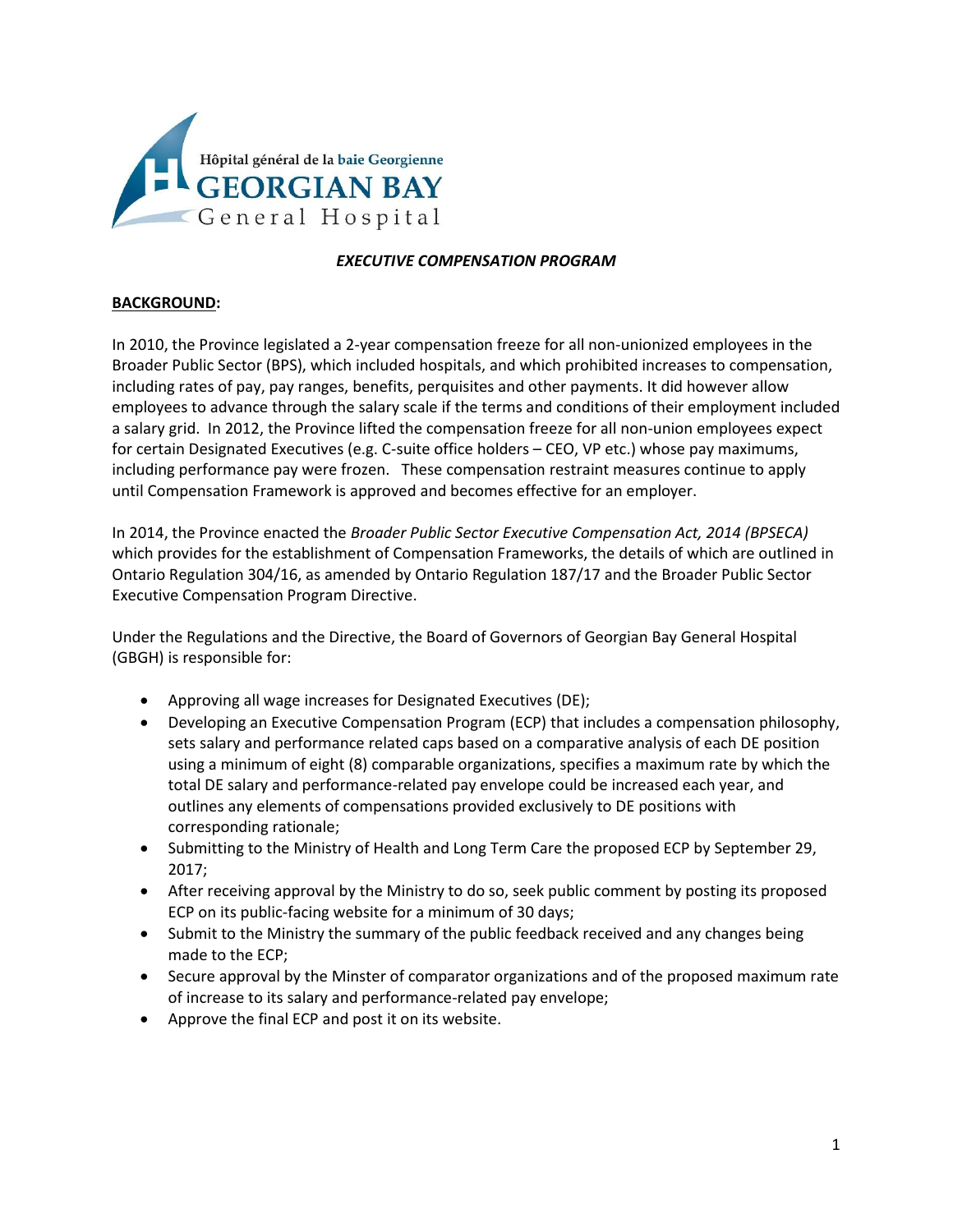

# *EXECUTIVE COMPENSATION PROGRAM*

#### **BACKGROUND:**

In 2010, the Province legislated a 2-year compensation freeze for all non-unionized employees in the Broader Public Sector (BPS), which included hospitals, and which prohibited increases to compensation, including rates of pay, pay ranges, benefits, perquisites and other payments. It did however allow employees to advance through the salary scale if the terms and conditions of their employment included a salary grid. In 2012, the Province lifted the compensation freeze for all non-union employees expect for certain Designated Executives (e.g. C-suite office holders – CEO, VP etc.) whose pay maximums, including performance pay were frozen. These compensation restraint measures continue to apply until Compensation Framework is approved and becomes effective for an employer.

In 2014, the Province enacted the *Broader Public Sector Executive Compensation Act, 2014 (BPSECA)* which provides for the establishment of Compensation Frameworks, the details of which are outlined in Ontario Regulation 304/16, as amended by Ontario Regulation 187/17 and the Broader Public Sector Executive Compensation Program Directive.

Under the Regulations and the Directive, the Board of Governors of Georgian Bay General Hospital (GBGH) is responsible for:

- Approving all wage increases for Designated Executives (DE);
- Developing an Executive Compensation Program (ECP) that includes a compensation philosophy, sets salary and performance related caps based on a comparative analysis of each DE position using a minimum of eight (8) comparable organizations, specifies a maximum rate by which the total DE salary and performance-related pay envelope could be increased each year, and outlines any elements of compensations provided exclusively to DE positions with corresponding rationale;
- Submitting to the Ministry of Health and Long Term Care the proposed ECP by September 29, 2017;
- After receiving approval by the Ministry to do so, seek public comment by posting its proposed ECP on its public-facing website for a minimum of 30 days;
- Submit to the Ministry the summary of the public feedback received and any changes being made to the ECP;
- Secure approval by the Minster of comparator organizations and of the proposed maximum rate of increase to its salary and performance-related pay envelope;
- Approve the final ECP and post it on its website.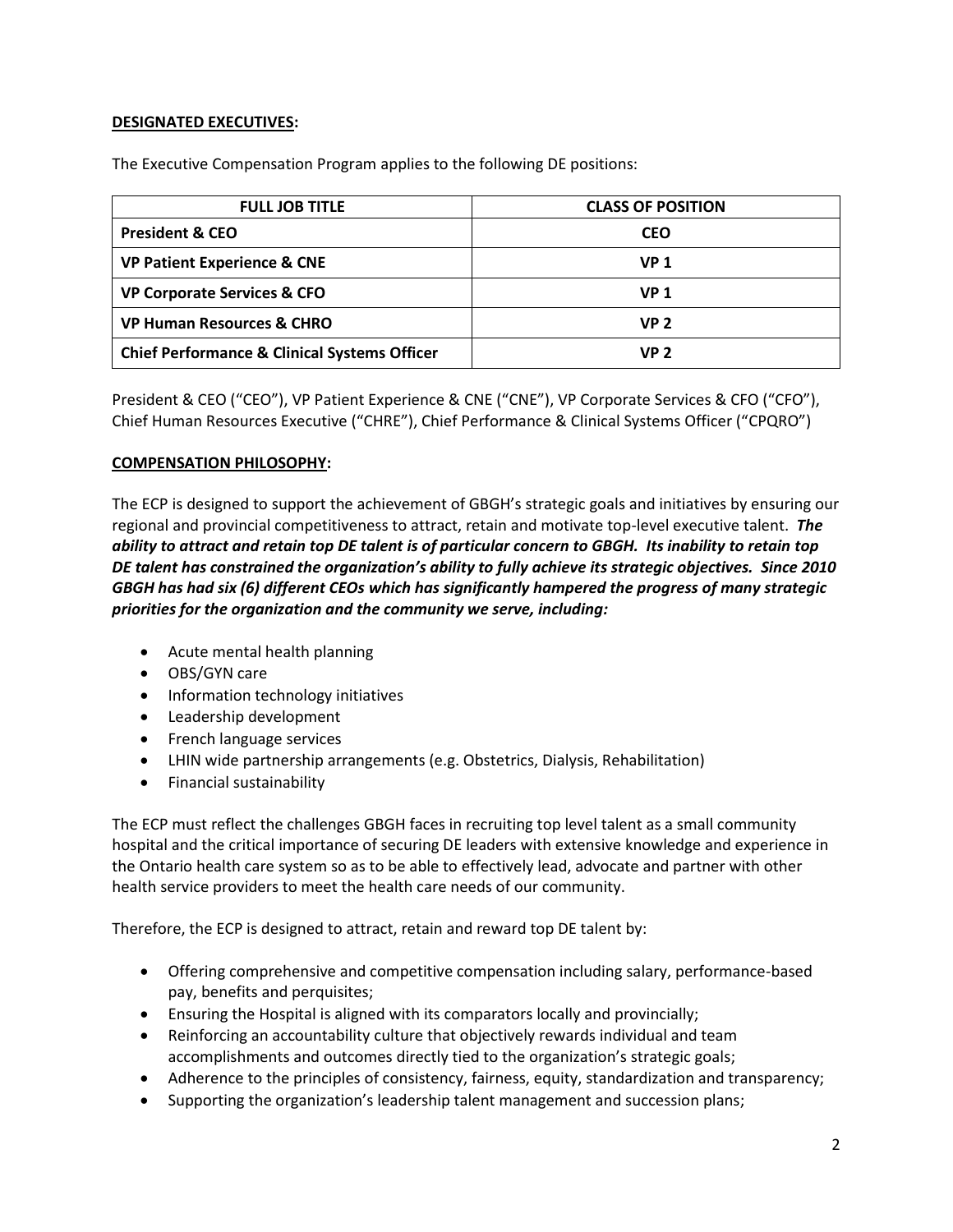# **DESIGNATED EXECUTIVES:**

The Executive Compensation Program applies to the following DE positions:

| <b>FULL JOB TITLE</b>                                   | <b>CLASS OF POSITION</b> |
|---------------------------------------------------------|--------------------------|
| <b>President &amp; CEO</b>                              | <b>CEO</b>               |
| <b>VP Patient Experience &amp; CNE</b>                  | <b>VP 1</b>              |
| <b>VP Corporate Services &amp; CFO</b>                  | <b>VP 1</b>              |
| <b>VP Human Resources &amp; CHRO</b>                    | VP 2                     |
| <b>Chief Performance &amp; Clinical Systems Officer</b> | VP 2                     |

President & CEO ("CEO"), VP Patient Experience & CNE ("CNE"), VP Corporate Services & CFO ("CFO"), Chief Human Resources Executive ("CHRE"), Chief Performance & Clinical Systems Officer ("CPQRO")

### **COMPENSATION PHILOSOPHY:**

The ECP is designed to support the achievement of GBGH's strategic goals and initiatives by ensuring our regional and provincial competitiveness to attract, retain and motivate top-level executive talent. *The ability to attract and retain top DE talent is of particular concern to GBGH. Its inability to retain top DE talent has constrained the organization's ability to fully achieve its strategic objectives. Since 2010 GBGH has had six (6) different CEOs which has significantly hampered the progress of many strategic priorities for the organization and the community we serve, including:*

- Acute mental health planning
- OBS/GYN care
- Information technology initiatives
- Leadership development
- French language services
- LHIN wide partnership arrangements (e.g. Obstetrics, Dialysis, Rehabilitation)
- Financial sustainability

The ECP must reflect the challenges GBGH faces in recruiting top level talent as a small community hospital and the critical importance of securing DE leaders with extensive knowledge and experience in the Ontario health care system so as to be able to effectively lead, advocate and partner with other health service providers to meet the health care needs of our community.

Therefore, the ECP is designed to attract, retain and reward top DE talent by:

- Offering comprehensive and competitive compensation including salary, performance-based pay, benefits and perquisites;
- Ensuring the Hospital is aligned with its comparators locally and provincially;
- Reinforcing an accountability culture that objectively rewards individual and team accomplishments and outcomes directly tied to the organization's strategic goals;
- Adherence to the principles of consistency, fairness, equity, standardization and transparency;
- Supporting the organization's leadership talent management and succession plans;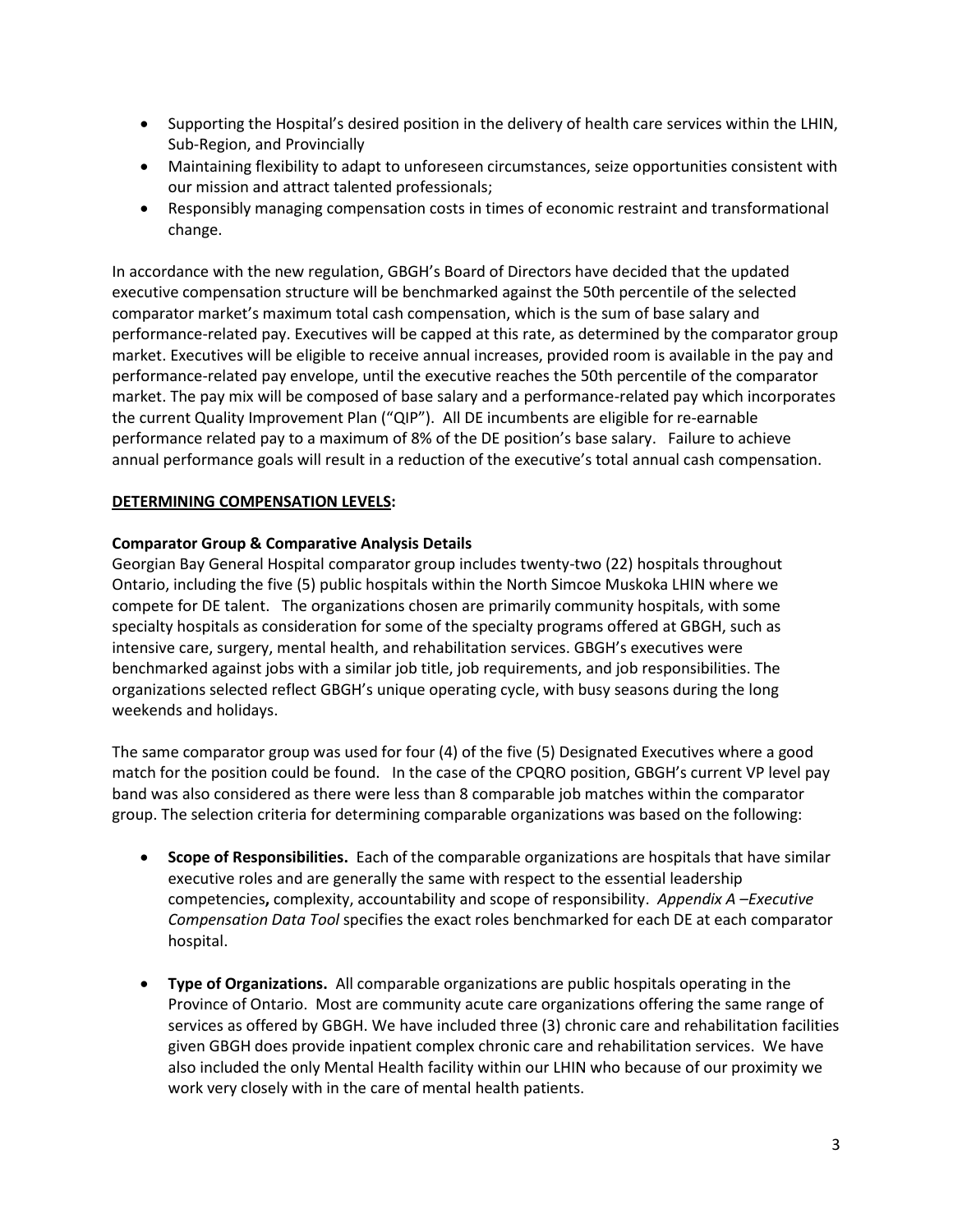- Supporting the Hospital's desired position in the delivery of health care services within the LHIN, Sub-Region, and Provincially
- Maintaining flexibility to adapt to unforeseen circumstances, seize opportunities consistent with our mission and attract talented professionals;
- Responsibly managing compensation costs in times of economic restraint and transformational change.

In accordance with the new regulation, GBGH's Board of Directors have decided that the updated executive compensation structure will be benchmarked against the 50th percentile of the selected comparator market's maximum total cash compensation, which is the sum of base salary and performance-related pay. Executives will be capped at this rate, as determined by the comparator group market. Executives will be eligible to receive annual increases, provided room is available in the pay and performance-related pay envelope, until the executive reaches the 50th percentile of the comparator market. The pay mix will be composed of base salary and a performance-related pay which incorporates the current Quality Improvement Plan ("QIP"). All DE incumbents are eligible for re-earnable performance related pay to a maximum of 8% of the DE position's base salary. Failure to achieve annual performance goals will result in a reduction of the executive's total annual cash compensation.

# **DETERMINING COMPENSATION LEVELS:**

# **Comparator Group & Comparative Analysis Details**

Georgian Bay General Hospital comparator group includes twenty-two (22) hospitals throughout Ontario, including the five (5) public hospitals within the North Simcoe Muskoka LHIN where we compete for DE talent. The organizations chosen are primarily community hospitals, with some specialty hospitals as consideration for some of the specialty programs offered at GBGH, such as intensive care, surgery, mental health, and rehabilitation services. GBGH's executives were benchmarked against jobs with a similar job title, job requirements, and job responsibilities. The organizations selected reflect GBGH's unique operating cycle, with busy seasons during the long weekends and holidays.

The same comparator group was used for four (4) of the five (5) Designated Executives where a good match for the position could be found. In the case of the CPQRO position, GBGH's current VP level pay band was also considered as there were less than 8 comparable job matches within the comparator group. The selection criteria for determining comparable organizations was based on the following:

- **Scope of Responsibilities.** Each of the comparable organizations are hospitals that have similar executive roles and are generally the same with respect to the essential leadership competencies**,** complexity, accountability and scope of responsibility. *Appendix A –Executive Compensation Data Tool* specifies the exact roles benchmarked for each DE at each comparator hospital.
- **Type of Organizations.** All comparable organizations are public hospitals operating in the Province of Ontario. Most are community acute care organizations offering the same range of services as offered by GBGH. We have included three (3) chronic care and rehabilitation facilities given GBGH does provide inpatient complex chronic care and rehabilitation services. We have also included the only Mental Health facility within our LHIN who because of our proximity we work very closely with in the care of mental health patients.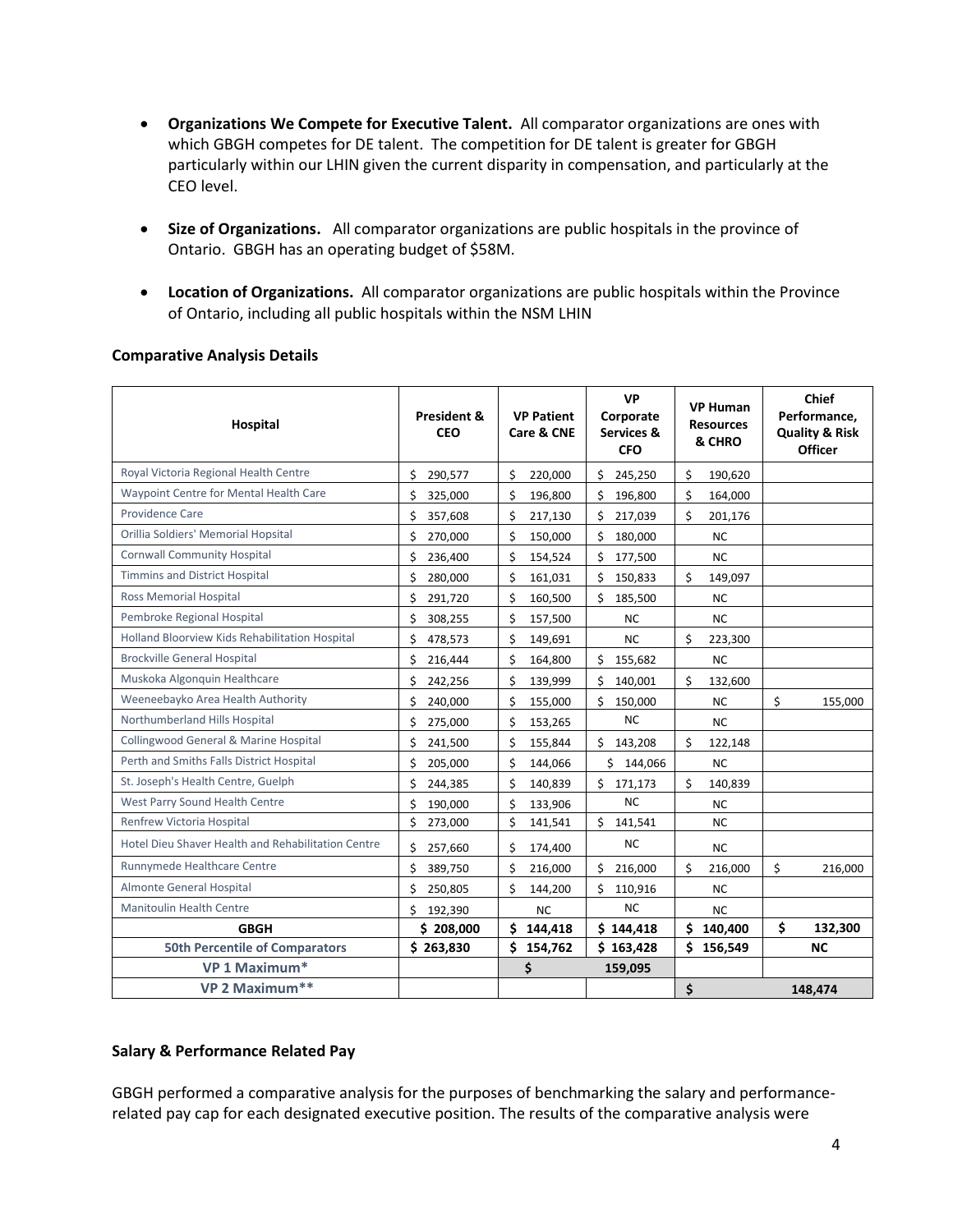- **Organizations We Compete for Executive Talent.** All comparator organizations are ones with which GBGH competes for DE talent. The competition for DE talent is greater for GBGH particularly within our LHIN given the current disparity in compensation, and particularly at the CEO level.
- **Size of Organizations.** All comparator organizations are public hospitals in the province of Ontario. GBGH has an operating budget of \$58M.
- **Location of Organizations.** All comparator organizations are public hospitals within the Province of Ontario, including all public hospitals within the NSM LHIN

| Hospital                                           | President &<br><b>CEO</b> | <b>VP Patient</b><br>Care & CNE | <b>VP</b><br>Corporate<br>Services &<br><b>CFO</b> | <b>VP Human</b><br><b>Resources</b><br>& CHRO | <b>Chief</b><br>Performance.<br><b>Quality &amp; Risk</b><br><b>Officer</b> |
|----------------------------------------------------|---------------------------|---------------------------------|----------------------------------------------------|-----------------------------------------------|-----------------------------------------------------------------------------|
| Royal Victoria Regional Health Centre              | Ś<br>290,577              | \$<br>220,000                   | \$<br>245,250                                      | \$<br>190,620                                 |                                                                             |
| Waypoint Centre for Mental Health Care             | Ś<br>325,000              | \$<br>196,800                   | \$<br>196,800                                      | \$<br>164,000                                 |                                                                             |
| <b>Providence Care</b>                             | Ś<br>357,608              | \$<br>217,130                   | \$<br>217,039                                      | \$<br>201,176                                 |                                                                             |
| Orillia Soldiers' Memorial Hopsital                | \$<br>270,000             | \$<br>150,000                   | \$<br>180,000                                      | <b>NC</b>                                     |                                                                             |
| <b>Cornwall Community Hospital</b>                 | Ś<br>236,400              | \$<br>154,524                   | \$<br>177,500                                      | <b>NC</b>                                     |                                                                             |
| <b>Timmins and District Hospital</b>               | Ś<br>280,000              | \$<br>161,031                   | \$<br>150,833                                      | Ś<br>149,097                                  |                                                                             |
| <b>Ross Memorial Hospital</b>                      | \$<br>291,720             | \$<br>160,500                   | \$<br>185,500                                      | <b>NC</b>                                     |                                                                             |
| Pembroke Regional Hospital                         | \$<br>308,255             | \$<br>157,500                   | <b>NC</b>                                          | <b>NC</b>                                     |                                                                             |
| Holland Bloorview Kids Rehabilitation Hospital     | \$<br>478,573             | \$<br>149,691                   | <b>NC</b>                                          | \$<br>223,300                                 |                                                                             |
| <b>Brockville General Hospital</b>                 | \$<br>216,444             | \$<br>164,800                   | \$<br>155,682                                      | <b>NC</b>                                     |                                                                             |
| Muskoka Algonquin Healthcare                       | Ś<br>242,256              | Ś<br>139,999                    | Ś<br>140,001                                       | \$<br>132,600                                 |                                                                             |
| Weeneebayko Area Health Authority                  | Ś<br>240,000              | Ś<br>155,000                    | Ś.<br>150,000                                      | <b>NC</b>                                     | \$<br>155,000                                                               |
| Northumberland Hills Hospital                      | Ś<br>275,000              | \$<br>153,265                   | <b>NC</b>                                          | <b>NC</b>                                     |                                                                             |
| Collingwood General & Marine Hospital              | Ś<br>241,500              | Ś<br>155,844                    | Ś.<br>143,208                                      | Ś.<br>122,148                                 |                                                                             |
| Perth and Smiths Falls District Hospital           | Ś<br>205,000              | Ś<br>144,066                    | \$144,066                                          | <b>NC</b>                                     |                                                                             |
| St. Joseph's Health Centre, Guelph                 | Ś<br>244,385              | Ś<br>140,839                    | \$<br>171,173                                      | Ŝ.<br>140,839                                 |                                                                             |
| West Parry Sound Health Centre                     | Ś<br>190,000              | \$<br>133,906                   | <b>NC</b>                                          | <b>NC</b>                                     |                                                                             |
| Renfrew Victoria Hospital                          | \$<br>273,000             | \$<br>141,541                   | \$<br>141,541                                      | <b>NC</b>                                     |                                                                             |
| Hotel Dieu Shaver Health and Rehabilitation Centre | \$<br>257,660             | \$<br>174,400                   | <b>NC</b>                                          | <b>NC</b>                                     |                                                                             |
| Runnymede Healthcare Centre                        | Ś<br>389,750              | Ś<br>216,000                    | Ś.<br>216,000                                      | \$<br>216,000                                 | \$<br>216,000                                                               |
| Almonte General Hospital                           | Ś<br>250,805              | Ś<br>144,200                    | Ś.<br>110,916                                      | <b>NC</b>                                     |                                                                             |
| <b>Manitoulin Health Centre</b>                    | Ś<br>192,390              | <b>NC</b>                       | <b>NC</b>                                          | <b>NC</b>                                     |                                                                             |
| <b>GBGH</b>                                        | \$208,000                 | Ś<br>144,418                    | \$144,418                                          | Ś.<br>140,400                                 | \$<br>132,300                                                               |
| <b>50th Percentile of Comparators</b>              | \$263,830                 | \$<br>154,762                   | \$163,428                                          | \$156,549                                     | <b>NC</b>                                                                   |
| VP 1 Maximum*                                      |                           | \$                              | 159,095                                            |                                               |                                                                             |
| VP 2 Maximum**                                     |                           |                                 |                                                    | \$                                            | 148,474                                                                     |

# **Comparative Analysis Details**

### **Salary & Performance Related Pay**

GBGH performed a comparative analysis for the purposes of benchmarking the salary and performancerelated pay cap for each designated executive position. The results of the comparative analysis were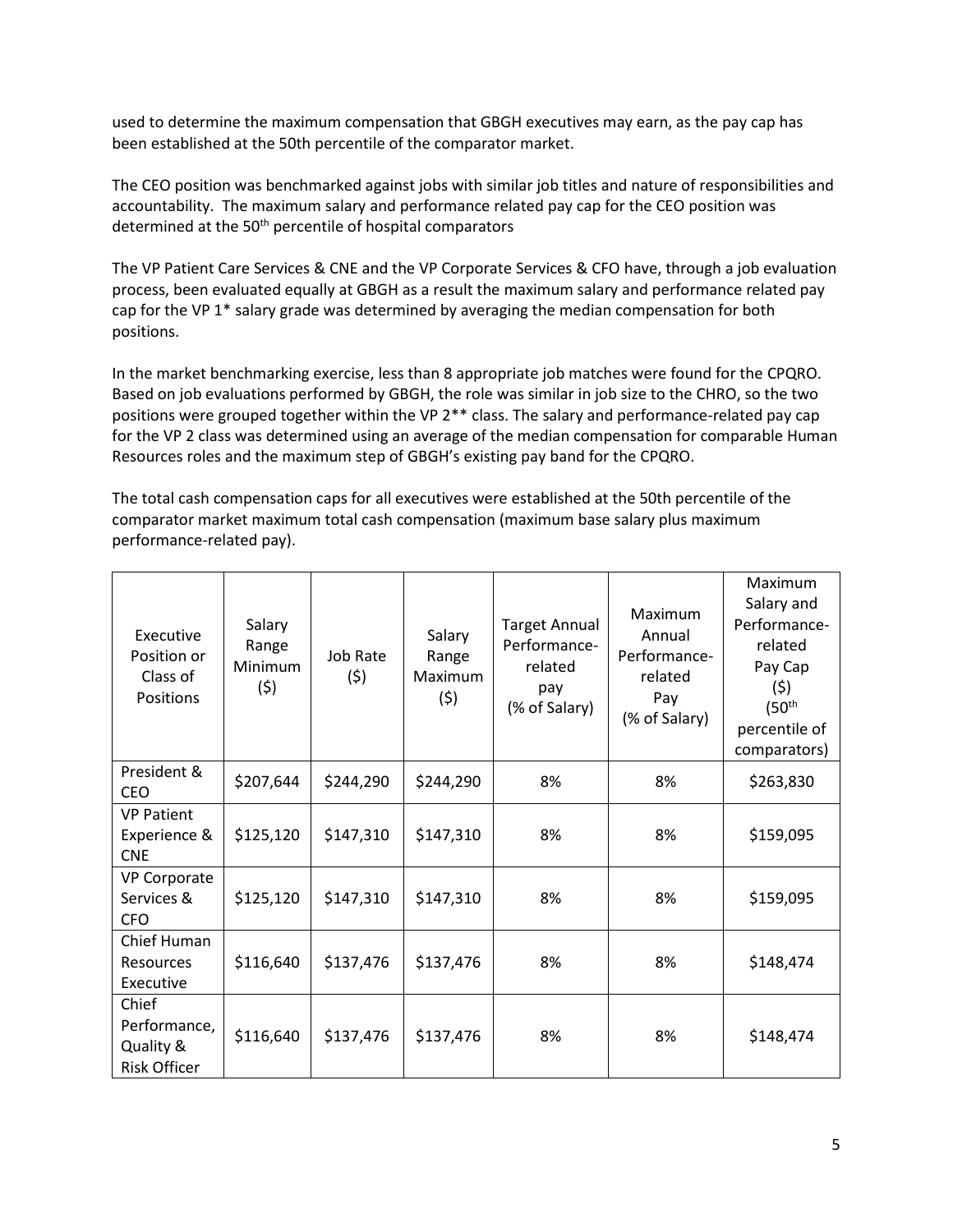used to determine the maximum compensation that GBGH executives may earn, as the pay cap has been established at the 50th percentile of the comparator market.

The CEO position was benchmarked against jobs with similar job titles and nature of responsibilities and accountability. The maximum salary and performance related pay cap for the CEO position was determined at the 50<sup>th</sup> percentile of hospital comparators

The VP Patient Care Services & CNE and the VP Corporate Services & CFO have, through a job evaluation process, been evaluated equally at GBGH as a result the maximum salary and performance related pay cap for the VP 1\* salary grade was determined by averaging the median compensation for both positions.

In the market benchmarking exercise, less than 8 appropriate job matches were found for the CPQRO. Based on job evaluations performed by GBGH, the role was similar in job size to the CHRO, so the two positions were grouped together within the VP 2\*\* class. The salary and performance-related pay cap for the VP 2 class was determined using an average of the median compensation for comparable Human Resources roles and the maximum step of GBGH's existing pay band for the CPQRO.

The total cash compensation caps for all executives were established at the 50th percentile of the comparator market maximum total cash compensation (maximum base salary plus maximum performance-related pay).

| Executive<br>Position or<br>Class of<br><b>Positions</b>  | Salary<br>Range<br><b>Minimum</b><br>(5) | Job Rate<br>(5) | Salary<br>Range<br>Maximum<br>(5) | <b>Target Annual</b><br>Performance-<br>related<br>pay<br>(% of Salary) | Maximum<br>Annual<br>Performance-<br>related<br>Pay<br>(% of Salary) | Maximum<br>Salary and<br>Performance-<br>related<br>Pay Cap<br>(5)<br>(50 <sup>th</sup><br>percentile of<br>comparators) |
|-----------------------------------------------------------|------------------------------------------|-----------------|-----------------------------------|-------------------------------------------------------------------------|----------------------------------------------------------------------|--------------------------------------------------------------------------------------------------------------------------|
| President &<br><b>CEO</b>                                 | \$207,644                                | \$244,290       | \$244,290                         | 8%                                                                      | 8%                                                                   | \$263,830                                                                                                                |
| <b>VP Patient</b><br>Experience &<br><b>CNE</b>           | \$125,120                                | \$147,310       | \$147,310                         | 8%                                                                      | 8%                                                                   | \$159,095                                                                                                                |
| VP Corporate<br>Services &<br><b>CFO</b>                  | \$125,120                                | \$147,310       | \$147,310                         | 8%                                                                      | 8%                                                                   | \$159,095                                                                                                                |
| Chief Human<br>Resources<br>Executive                     | \$116,640                                | \$137,476       | \$137,476                         | 8%                                                                      | 8%                                                                   | \$148,474                                                                                                                |
| Chief<br>Performance,<br>Quality &<br><b>Risk Officer</b> | \$116,640                                | \$137,476       | \$137,476                         | 8%                                                                      | 8%                                                                   | \$148,474                                                                                                                |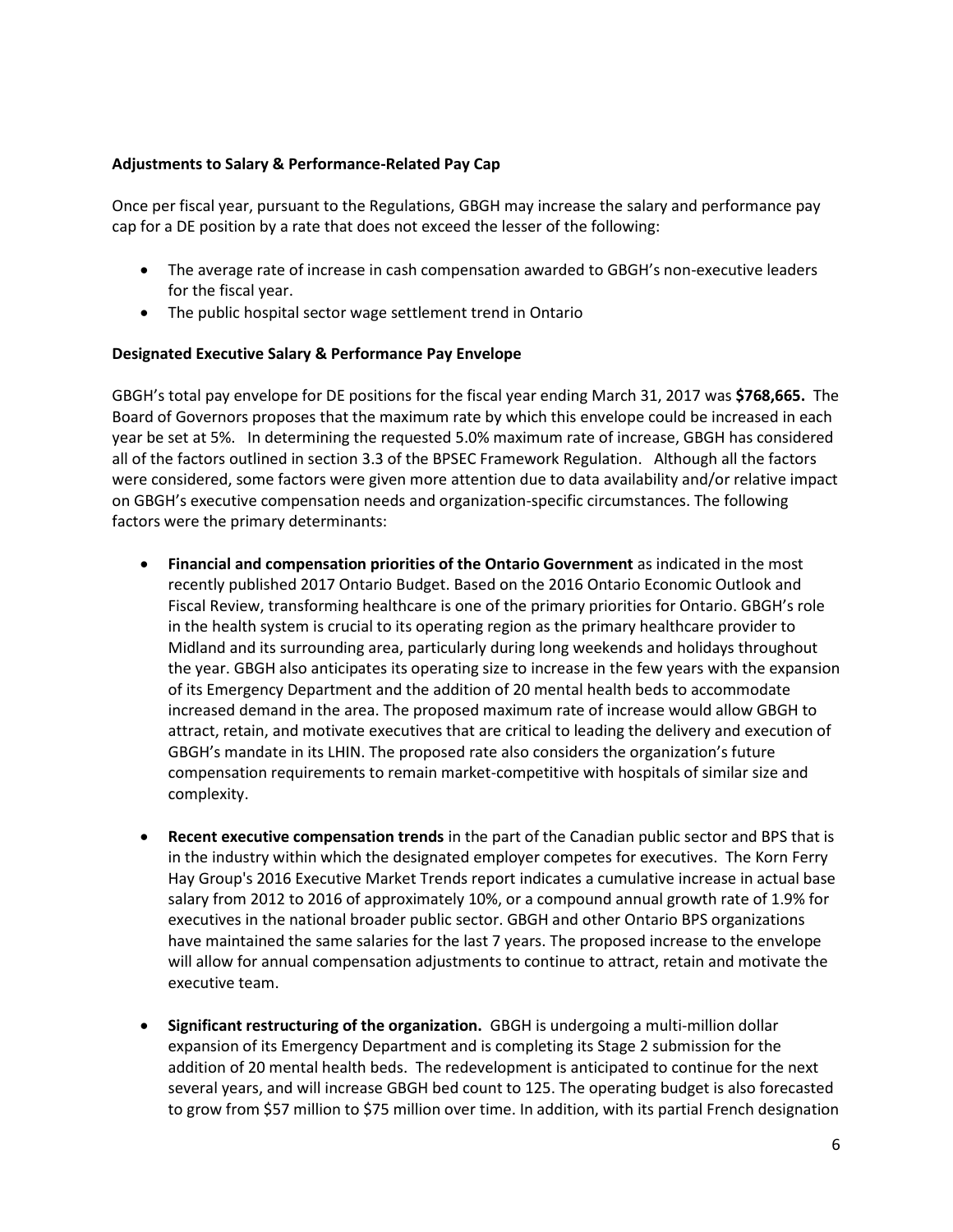#### **Adjustments to Salary & Performance-Related Pay Cap**

Once per fiscal year, pursuant to the Regulations, GBGH may increase the salary and performance pay cap for a DE position by a rate that does not exceed the lesser of the following:

- The average rate of increase in cash compensation awarded to GBGH's non-executive leaders for the fiscal year.
- The public hospital sector wage settlement trend in Ontario

### **Designated Executive Salary & Performance Pay Envelope**

GBGH's total pay envelope for DE positions for the fiscal year ending March 31, 2017 was **\$768,665.** The Board of Governors proposes that the maximum rate by which this envelope could be increased in each year be set at 5%. In determining the requested 5.0% maximum rate of increase, GBGH has considered all of the factors outlined in section 3.3 of the BPSEC Framework Regulation. Although all the factors were considered, some factors were given more attention due to data availability and/or relative impact on GBGH's executive compensation needs and organization-specific circumstances. The following factors were the primary determinants:

- **Financial and compensation priorities of the Ontario Government** as indicated in the most recently published 2017 Ontario Budget. Based on the 2016 Ontario Economic Outlook and Fiscal Review, transforming healthcare is one of the primary priorities for Ontario. GBGH's role in the health system is crucial to its operating region as the primary healthcare provider to Midland and its surrounding area, particularly during long weekends and holidays throughout the year. GBGH also anticipates its operating size to increase in the few years with the expansion of its Emergency Department and the addition of 20 mental health beds to accommodate increased demand in the area. The proposed maximum rate of increase would allow GBGH to attract, retain, and motivate executives that are critical to leading the delivery and execution of GBGH's mandate in its LHIN. The proposed rate also considers the organization's future compensation requirements to remain market-competitive with hospitals of similar size and complexity.
- **Recent executive compensation trends** in the part of the Canadian public sector and BPS that is in the industry within which the designated employer competes for executives. The Korn Ferry Hay Group's 2016 Executive Market Trends report indicates a cumulative increase in actual base salary from 2012 to 2016 of approximately 10%, or a compound annual growth rate of 1.9% for executives in the national broader public sector. GBGH and other Ontario BPS organizations have maintained the same salaries for the last 7 years. The proposed increase to the envelope will allow for annual compensation adjustments to continue to attract, retain and motivate the executive team.
- **Significant restructuring of the organization.** GBGH is undergoing a multi-million dollar expansion of its Emergency Department and is completing its Stage 2 submission for the addition of 20 mental health beds. The redevelopment is anticipated to continue for the next several years, and will increase GBGH bed count to 125. The operating budget is also forecasted to grow from \$57 million to \$75 million over time. In addition, with its partial French designation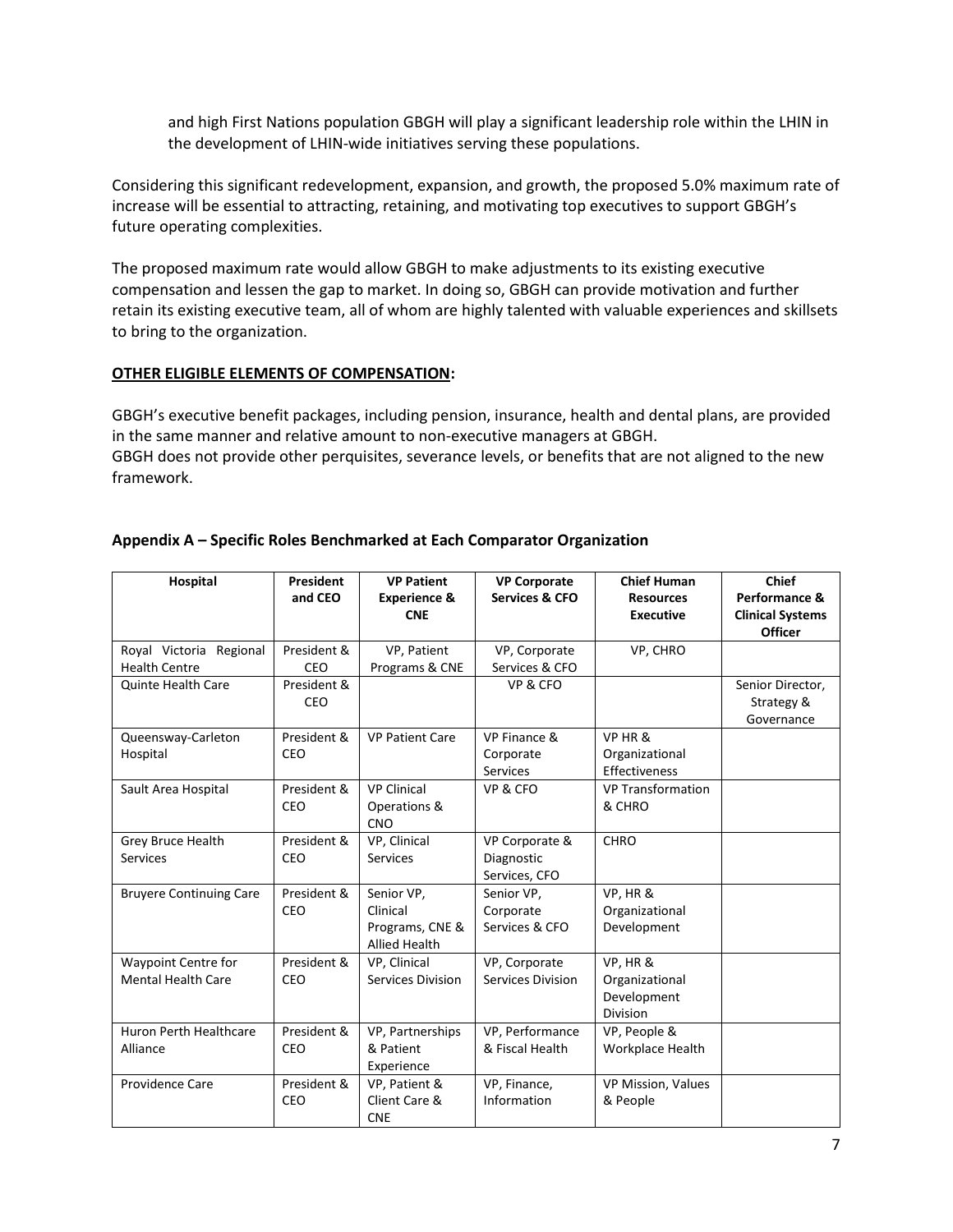and high First Nations population GBGH will play a significant leadership role within the LHIN in the development of LHIN-wide initiatives serving these populations.

Considering this significant redevelopment, expansion, and growth, the proposed 5.0% maximum rate of increase will be essential to attracting, retaining, and motivating top executives to support GBGH's future operating complexities.

The proposed maximum rate would allow GBGH to make adjustments to its existing executive compensation and lessen the gap to market. In doing so, GBGH can provide motivation and further retain its existing executive team, all of whom are highly talented with valuable experiences and skillsets to bring to the organization.

#### **OTHER ELIGIBLE ELEMENTS OF COMPENSATION:**

GBGH's executive benefit packages, including pension, insurance, health and dental plans, are provided in the same manner and relative amount to non-executive managers at GBGH. GBGH does not provide other perquisites, severance levels, or benefits that are not aligned to the new framework.

| <b>Hospital</b>                                    | <b>President</b><br>and CEO | <b>VP Patient</b><br><b>Experience &amp;</b><br><b>CNE</b>        | <b>VP Corporate</b><br><b>Services &amp; CFO</b> | <b>Chief Human</b><br><b>Resources</b><br><b>Executive</b> | <b>Chief</b><br>Performance &<br><b>Clinical Systems</b><br><b>Officer</b> |
|----------------------------------------------------|-----------------------------|-------------------------------------------------------------------|--------------------------------------------------|------------------------------------------------------------|----------------------------------------------------------------------------|
| Regional<br>Royal Victoria<br><b>Health Centre</b> | President &<br>CEO          | VP, Patient<br>Programs & CNE                                     | VP, Corporate<br>Services & CFO                  | VP, CHRO                                                   |                                                                            |
| <b>Quinte Health Care</b>                          | President &<br>CEO          |                                                                   | VP & CFO                                         |                                                            | Senior Director,<br>Strategy &<br>Governance                               |
| Queensway-Carleton<br>Hospital                     | President &<br>CEO          | <b>VP Patient Care</b>                                            | VP Finance &<br>Corporate<br><b>Services</b>     | VP HR &<br>Organizational<br>Effectiveness                 |                                                                            |
| Sault Area Hospital                                | President &<br>CEO          | <b>VP Clinical</b><br>Operations &<br><b>CNO</b>                  | VP & CFO                                         | <b>VP Transformation</b><br>& CHRO                         |                                                                            |
| Grey Bruce Health<br><b>Services</b>               | President &<br>CEO          | VP. Clinical<br><b>Services</b>                                   | VP Corporate &<br>Diagnostic<br>Services, CFO    | <b>CHRO</b>                                                |                                                                            |
| <b>Bruyere Continuing Care</b>                     | President &<br>CEO          | Senior VP,<br>Clinical<br>Programs, CNE &<br><b>Allied Health</b> | Senior VP,<br>Corporate<br>Services & CFO        | VP, HR &<br>Organizational<br>Development                  |                                                                            |
| Waypoint Centre for<br><b>Mental Health Care</b>   | President &<br>CEO          | VP, Clinical<br>Services Division                                 | VP, Corporate<br><b>Services Division</b>        | VP, HR &<br>Organizational<br>Development<br>Division      |                                                                            |
| Huron Perth Healthcare<br>Alliance                 | President &<br>CEO          | VP, Partnerships<br>& Patient<br>Experience                       | VP, Performance<br>& Fiscal Health               | VP, People &<br>Workplace Health                           |                                                                            |
| Providence Care                                    | President &<br>CEO          | VP, Patient &<br>Client Care &<br><b>CNE</b>                      | VP, Finance,<br>Information                      | VP Mission, Values<br>& People                             |                                                                            |

### **Appendix A – Specific Roles Benchmarked at Each Comparator Organization**